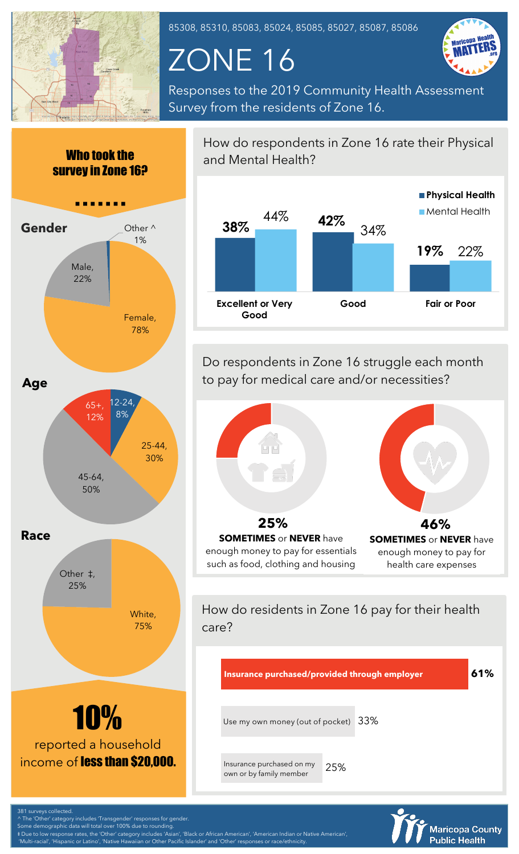

85308, 85310, 85083, 85024, 85085, 85027, 85087, 85086

## ZONE 16



Responses to the 2019 Community Health Assessment Survey from the residents of Zone 16.



How do respondents in Zone 16 rate their Physical and Mental Health?



Do respondents in Zone 16 struggle each month to pay for medical care and/or necessities?



How do residents in Zone 16 pay for their health care?



**Maricopa County Public Health** 

^ The 'Other' category includes 'Transgender' responses for gender.